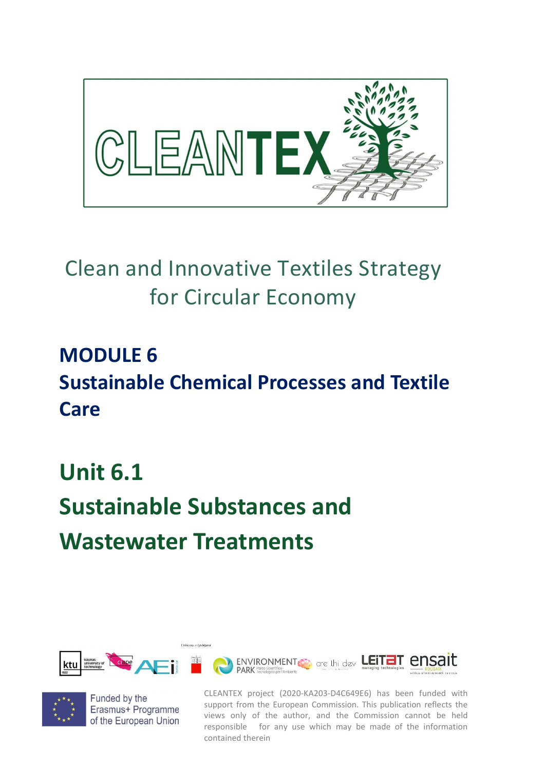

## Clean and Innovative Textiles Strategy for Circular Economy

## MODULE 6 Sustainable Chemical Processes and Textile Care

## Unit 6.1 Sustainable Substances and Wastewater Treatments





Funded by the Erasmus+ Programme of the European Union

CLEANTEX project (2020-KA203-D4C649E6) has been funded with support from the European Commission. This publication reflects the views only of the author, and the Commission cannot be held responsible for any use which may be made of the information contained therein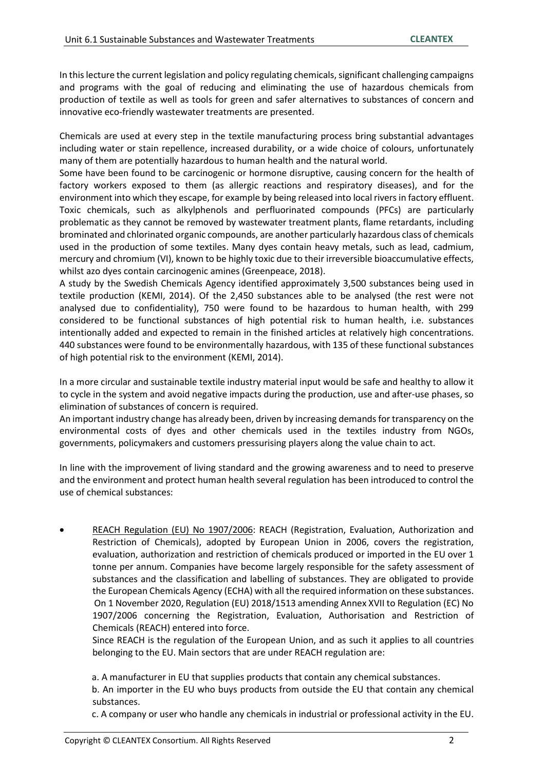In this lecture the current legislation and policy regulating chemicals, significant challenging campaigns and programs with the goal of reducing and eliminating the use of hazardous chemicals from production of textile as well as tools for green and safer alternatives to substances of concern and innovative eco-friendly wastewater treatments are presented.

Chemicals are used at every step in the textile manufacturing process bring substantial advantages including water or stain repellence, increased durability, or a wide choice of colours, unfortunately many of them are potentially hazardous to human health and the natural world.

Some have been found to be carcinogenic or hormone disruptive, causing concern for the health of factory workers exposed to them (as allergic reactions and respiratory diseases), and for the environment into which they escape, for example by being released into local rivers in factory effluent. Toxic chemicals, such as alkylphenols and perfluorinated compounds (PFCs) are particularly problematic as they cannot be removed by wastewater treatment plants, flame retardants, including brominated and chlorinated organic compounds, are another particularly hazardous class of chemicals used in the production of some textiles. Many dyes contain heavy metals, such as lead, cadmium, mercury and chromium (VI), known to be highly toxic due to their irreversible bioaccumulative effects, whilst azo dyes contain carcinogenic amines (Greenpeace, 2018).

A study by the Swedish Chemicals Agency identified approximately 3,500 substances being used in textile production (KEMI, 2014). Of the 2,450 substances able to be analysed (the rest were not analysed due to confidentiality), 750 were found to be hazardous to human health, with 299 considered to be functional substances of high potential risk to human health, i.e. substances intentionally added and expected to remain in the finished articles at relatively high concentrations. 440 substances were found to be environmentally hazardous, with 135 of these functional substances of high potential risk to the environment (KEMI, 2014).

In a more circular and sustainable textile industry material input would be safe and healthy to allow it to cycle in the system and avoid negative impacts during the production, use and after-use phases, so elimination of substances of concern is required.

An important industry change has already been, driven by increasing demands for transparency on the environmental costs of dyes and other chemicals used in the textiles industry from NGOs, governments, policymakers and customers pressurising players along the value chain to act.

In line with the improvement of living standard and the growing awareness and to need to preserve and the environment and protect human health several regulation has been introduced to control the use of chemical substances:

 REACH Regulation (EU) No 1907/2006: REACH (Registration, Evaluation, Authorization and Restriction of Chemicals), adopted by European Union in 2006, covers the registration, evaluation, authorization and restriction of chemicals produced or imported in the EU over 1 tonne per annum. Companies have become largely responsible for the safety assessment of substances and the classification and labelling of substances. They are obligated to provide the European Chemicals Agency (ECHA) with all the required information on these substances. On 1 November 2020, Regulation (EU) 2018/1513 amending Annex XVII to Regulation (EC) No 1907/2006 concerning the Registration, Evaluation, Authorisation and Restriction of Chemicals (REACH) entered into force.

Since REACH is the regulation of the European Union, and as such it applies to all countries belonging to the EU. Main sectors that are under REACH regulation are:

a. A manufacturer in EU that supplies products that contain any chemical substances.

b. An importer in the EU who buys products from outside the EU that contain any chemical substances.

c. A company or user who handle any chemicals in industrial or professional activity in the EU.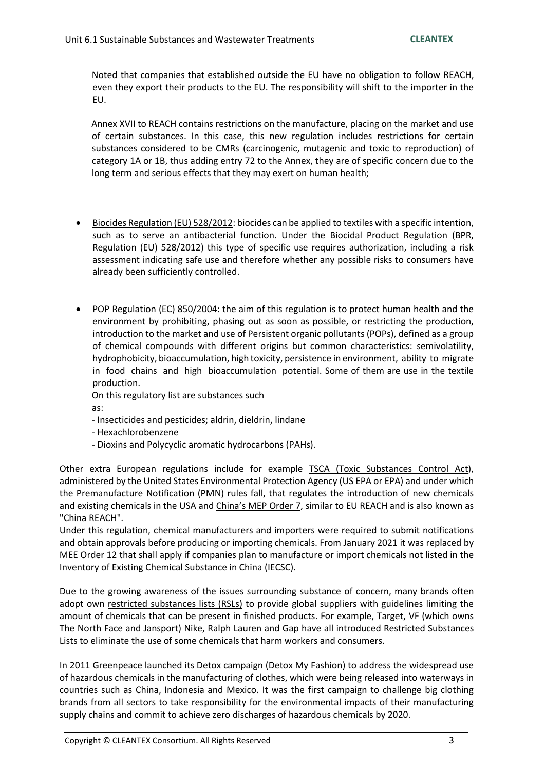Noted that companies that established outside the EU have no obligation to follow REACH, even they export their products to the EU. The responsibility will shift to the importer in the EU.

 Annex XVII to REACH contains restrictions on the manufacture, placing on the market and use of certain substances. In this case, this new regulation includes restrictions for certain substances considered to be CMRs (carcinogenic, mutagenic and toxic to reproduction) of category 1A or 1B, thus adding entry 72 to the Annex, they are of specific concern due to the long term and serious effects that they may exert on human health;

- Biocides Regulation (EU) 528/2012: biocides can be applied to textiles with a specific intention, such as to serve an antibacterial function. Under the Biocidal Product Regulation (BPR, Regulation (EU) 528/2012) this type of specific use requires authorization, including a risk assessment indicating safe use and therefore whether any possible risks to consumers have already been sufficiently controlled.
- POP Regulation (EC) 850/2004: the aim of this regulation is to protect human health and the environment by prohibiting, phasing out as soon as possible, or restricting the production, introduction to the market and use of Persistent organic pollutants (POPs), defined as a group of chemical compounds with different origins but common characteristics: semivolatility, hydrophobicity, bioaccumulation, high toxicity, persistence in environment, ability to migrate in food chains and high bioaccumulation potential. Some of them are use in the textile production.

On this regulatory list are substances such

as:

- Insecticides and pesticides; aldrin, dieldrin, lindane
- Hexachlorobenzene
- Dioxins and Polycyclic aromatic hydrocarbons (PAHs).

Other extra European regulations include for example TSCA (Toxic Substances Control Act), administered by the United States Environmental Protection Agency (US EPA or EPA) and under which the Premanufacture Notification (PMN) rules fall, that regulates the introduction of new chemicals and existing chemicals in the USA and China's MEP Order 7, similar to EU REACH and is also known as "China REACH".

Under this regulation, chemical manufacturers and importers were required to submit notifications and obtain approvals before producing or importing chemicals. From January 2021 it was replaced by MEE Order 12 that shall apply if companies plan to manufacture or import chemicals not listed in the Inventory of Existing Chemical Substance in China (IECSC).

Due to the growing awareness of the issues surrounding substance of concern, many brands often adopt own restricted substances lists (RSLs) to provide global suppliers with guidelines limiting the amount of chemicals that can be present in finished products. For example, Target, VF (which owns The North Face and Jansport) Nike, Ralph Lauren and Gap have all introduced Restricted Substances Lists to eliminate the use of some chemicals that harm workers and consumers.

In 2011 Greenpeace launched its Detox campaign (Detox My Fashion) to address the widespread use of hazardous chemicals in the manufacturing of clothes, which were being released into waterways in countries such as China, Indonesia and Mexico. It was the first campaign to challenge big clothing brands from all sectors to take responsibility for the environmental impacts of their manufacturing supply chains and commit to achieve zero discharges of hazardous chemicals by 2020.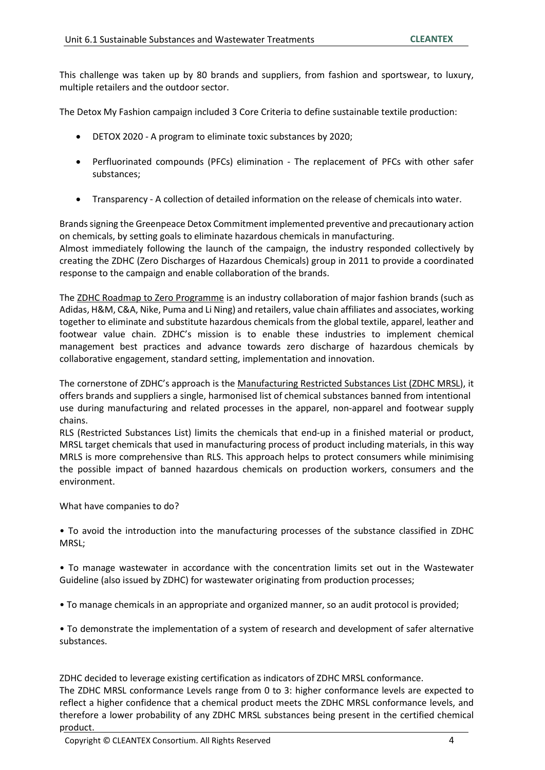This challenge was taken up by 80 brands and suppliers, from fashion and sportswear, to luxury, multiple retailers and the outdoor sector.

The Detox My Fashion campaign included 3 Core Criteria to define sustainable textile production:

- DETOX 2020 A program to eliminate toxic substances by 2020;
- Perfluorinated compounds (PFCs) elimination The replacement of PFCs with other safer substances;
- Transparency A collection of detailed information on the release of chemicals into water.

Brands signing the Greenpeace Detox Commitment implemented preventive and precautionary action on chemicals, by setting goals to eliminate hazardous chemicals in manufacturing.

Almost immediately following the launch of the campaign, the industry responded collectively by creating the ZDHC (Zero Discharges of Hazardous Chemicals) group in 2011 to provide a coordinated response to the campaign and enable collaboration of the brands.

The ZDHC Roadmap to Zero Programme is an industry collaboration of major fashion brands (such as Adidas, H&M, C&A, Nike, Puma and Li Ning) and retailers, value chain affiliates and associates, working together to eliminate and substitute hazardous chemicals from the global textile, apparel, leather and footwear value chain. ZDHC's mission is to enable these industries to implement chemical management best practices and advance towards zero discharge of hazardous chemicals by collaborative engagement, standard setting, implementation and innovation.

The cornerstone of ZDHC's approach is the Manufacturing Restricted Substances List (ZDHC MRSL), it offers brands and suppliers a single, harmonised list of chemical substances banned from intentional use during manufacturing and related processes in the apparel, non-apparel and footwear supply chains.

RLS (Restricted Substances List) limits the chemicals that end-up in a finished material or product, MRSL target chemicals that used in manufacturing process of product including materials, in this way MRLS is more comprehensive than RLS. This approach helps to protect consumers while minimising the possible impact of banned hazardous chemicals on production workers, consumers and the environment.

What have companies to do?

• To avoid the introduction into the manufacturing processes of the substance classified in ZDHC MRSL;

• To manage wastewater in accordance with the concentration limits set out in the Wastewater Guideline (also issued by ZDHC) for wastewater originating from production processes;

• To manage chemicals in an appropriate and organized manner, so an audit protocol is provided;

• To demonstrate the implementation of a system of research and development of safer alternative substances.

ZDHC decided to leverage existing certification as indicators of ZDHC MRSL conformance. The ZDHC MRSL conformance Levels range from 0 to 3: higher conformance levels are expected to reflect a higher confidence that a chemical product meets the ZDHC MRSL conformance levels, and therefore a lower probability of any ZDHC MRSL substances being present in the certified chemical product.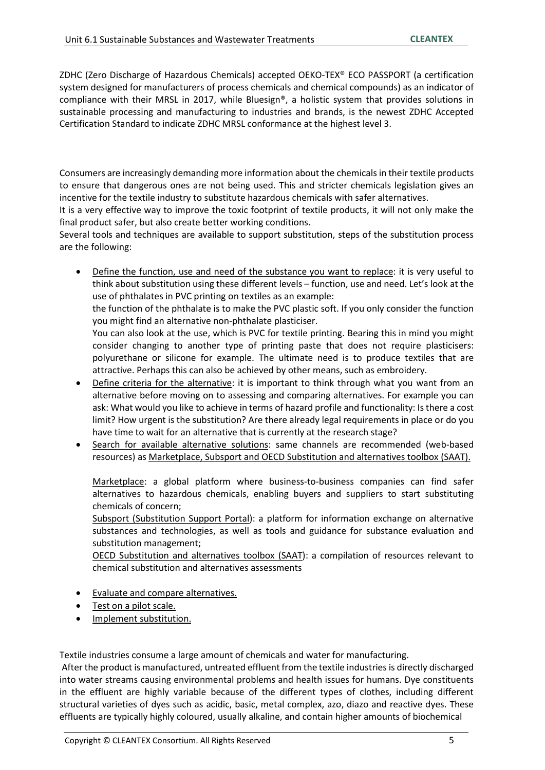ZDHC (Zero Discharge of Hazardous Chemicals) accepted OEKO-TEX® ECO PASSPORT (a certification system designed for manufacturers of process chemicals and chemical compounds) as an indicator of compliance with their MRSL in 2017, while Bluesign®, a holistic system that provides solutions in sustainable processing and manufacturing to industries and brands, is the newest ZDHC Accepted Certification Standard to indicate ZDHC MRSL conformance at the highest level 3.

Consumers are increasingly demanding more information about the chemicals in their textile products to ensure that dangerous ones are not being used. This and stricter chemicals legislation gives an incentive for the textile industry to substitute hazardous chemicals with safer alternatives.

It is a very effective way to improve the toxic footprint of textile products, it will not only make the final product safer, but also create better working conditions.

Several tools and techniques are available to support substitution, steps of the substitution process are the following:

 Define the function, use and need of the substance you want to replace: it is very useful to think about substitution using these different levels – function, use and need. Let's look at the use of phthalates in PVC printing on textiles as an example:

the function of the phthalate is to make the PVC plastic soft. If you only consider the function you might find an alternative non-phthalate plasticiser.

You can also look at the use, which is PVC for textile printing. Bearing this in mind you might consider changing to another type of printing paste that does not require plasticisers: polyurethane or silicone for example. The ultimate need is to produce textiles that are attractive. Perhaps this can also be achieved by other means, such as embroidery.

- Define criteria for the alternative: it is important to think through what you want from an alternative before moving on to assessing and comparing alternatives. For example you can ask: What would you like to achieve in terms of hazard profile and functionality: Is there a cost limit? How urgent is the substitution? Are there already legal requirements in place or do you have time to wait for an alternative that is currently at the research stage?
- Search for available alternative solutions: same channels are recommended (web-based resources) as Marketplace, Subsport and OECD Substitution and alternatives toolbox (SAAT).

Marketplace: a global platform where business-to-business companies can find safer alternatives to hazardous chemicals, enabling buyers and suppliers to start substituting chemicals of concern;

Subsport (Substitution Support Portal): a platform for information exchange on alternative substances and technologies, as well as tools and guidance for substance evaluation and substitution management;

OECD Substitution and alternatives toolbox (SAAT): a compilation of resources relevant to chemical substitution and alternatives assessments

- Evaluate and compare alternatives.
- Test on a pilot scale.
- Implement substitution.

Textile industries consume a large amount of chemicals and water for manufacturing.

 After the product is manufactured, untreated effluent from the textile industries is directly discharged into water streams causing environmental problems and health issues for humans. Dye constituents in the effluent are highly variable because of the different types of clothes, including different structural varieties of dyes such as acidic, basic, metal complex, azo, diazo and reactive dyes. These effluents are typically highly coloured, usually alkaline, and contain higher amounts of biochemical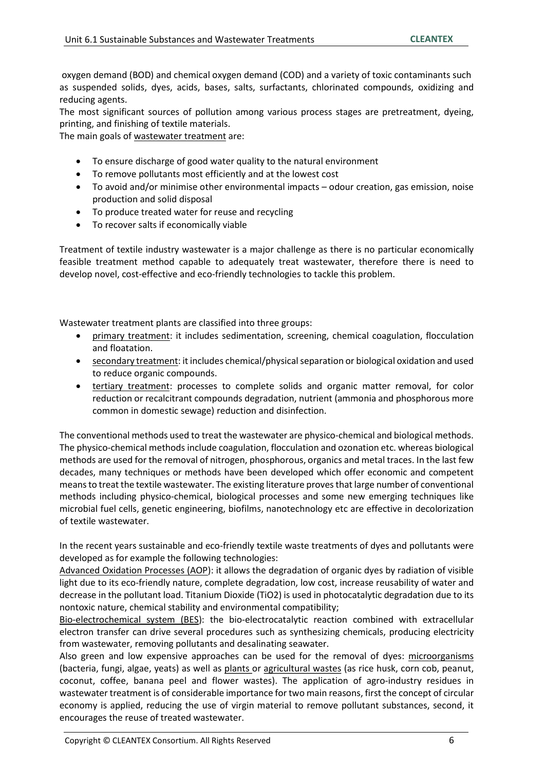oxygen demand (BOD) and chemical oxygen demand (COD) and a variety of toxic contaminants such as suspended solids, dyes, acids, bases, salts, surfactants, chlorinated compounds, oxidizing and reducing agents.

The most significant sources of pollution among various process stages are pretreatment, dyeing, printing, and finishing of textile materials.

The main goals of wastewater treatment are:

- To ensure discharge of good water quality to the natural environment
- To remove pollutants most efficiently and at the lowest cost
- To avoid and/or minimise other environmental impacts odour creation, gas emission, noise production and solid disposal
- To produce treated water for reuse and recycling
- To recover salts if economically viable

Treatment of textile industry wastewater is a major challenge as there is no particular economically feasible treatment method capable to adequately treat wastewater, therefore there is need to develop novel, cost-effective and eco-friendly technologies to tackle this problem.

Wastewater treatment plants are classified into three groups:

- primary treatment: it includes sedimentation, screening, chemical coagulation, flocculation and floatation.
- secondary treatment: it includes chemical/physical separation or biological oxidation and used to reduce organic compounds.
- tertiary treatment: processes to complete solids and organic matter removal, for color reduction or recalcitrant compounds degradation, nutrient (ammonia and phosphorous more common in domestic sewage) reduction and disinfection.

The conventional methods used to treat the wastewater are physico-chemical and biological methods. The physico-chemical methods include coagulation, flocculation and ozonation etc. whereas biological methods are used for the removal of nitrogen, phosphorous, organics and metal traces. In the last few decades, many techniques or methods have been developed which offer economic and competent means to treat the textile wastewater. The existing literature proves that large number of conventional methods including physico-chemical, biological processes and some new emerging techniques like microbial fuel cells, genetic engineering, biofilms, nanotechnology etc are effective in decolorization of textile wastewater.

In the recent years sustainable and eco-friendly textile waste treatments of dyes and pollutants were developed as for example the following technologies:

Advanced Oxidation Processes (AOP): it allows the degradation of organic dyes by radiation of visible light due to its eco-friendly nature, complete degradation, low cost, increase reusability of water and decrease in the pollutant load. Titanium Dioxide (TiO2) is used in photocatalytic degradation due to its nontoxic nature, chemical stability and environmental compatibility;

Bio-electrochemical system (BES): the bio-electrocatalytic reaction combined with extracellular electron transfer can drive several procedures such as synthesizing chemicals, producing electricity from wastewater, removing pollutants and desalinating seawater.

Also green and low expensive approaches can be used for the removal of dyes: microorganisms (bacteria, fungi, algae, yeats) as well as plants or agricultural wastes (as rice husk, corn cob, peanut, coconut, coffee, banana peel and flower wastes). The application of agro-industry residues in wastewater treatment is of considerable importance for two main reasons, first the concept of circular economy is applied, reducing the use of virgin material to remove pollutant substances, second, it encourages the reuse of treated wastewater.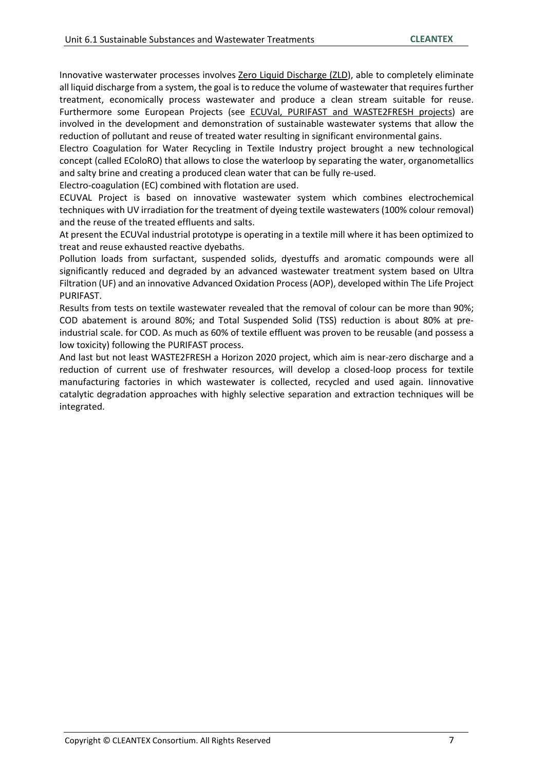Innovative wasterwater processes involves Zero Liquid Discharge (ZLD), able to completely eliminate all liquid discharge from a system, the goal is to reduce the volume of wastewater that requires further treatment, economically process wastewater and produce a clean stream suitable for reuse. Furthermore some European Projects (see ECUVal, PURIFAST and WASTE2FRESH projects) are involved in the development and demonstration of sustainable wastewater systems that allow the reduction of pollutant and reuse of treated water resulting in significant environmental gains.

Electro Coagulation for Water Recycling in Textile Industry project brought a new technological concept (called EColoRO) that allows to close the waterloop by separating the water, organometallics and salty brine and creating a produced clean water that can be fully re-used.

Electro-coagulation (EC) combined with flotation are used.

ECUVAL Project is based on innovative wastewater system which combines electrochemical techniques with UV irradiation for the treatment of dyeing textile wastewaters (100% colour removal) and the reuse of the treated effluents and salts.

At present the ECUVal industrial prototype is operating in a textile mill where it has been optimized to treat and reuse exhausted reactive dyebaths.

Pollution loads from surfactant, suspended solids, dyestuffs and aromatic compounds were all significantly reduced and degraded by an advanced wastewater treatment system based on Ultra Filtration (UF) and an innovative Advanced Oxidation Process (AOP), developed within The Life Project PURIFAST.

Results from tests on textile wastewater revealed that the removal of colour can be more than 90%; COD abatement is around 80%; and Total Suspended Solid (TSS) reduction is about 80% at preindustrial scale. for COD. As much as 60% of textile effluent was proven to be reusable (and possess a low toxicity) following the PURIFAST process.

And last but not least WASTE2FRESH a Horizon 2020 project, which aim is near-zero discharge and a reduction of current use of freshwater resources, will develop a closed-loop process for textile manufacturing factories in which wastewater is collected, recycled and used again. Iinnovative catalytic degradation approaches with highly selective separation and extraction techniques will be integrated.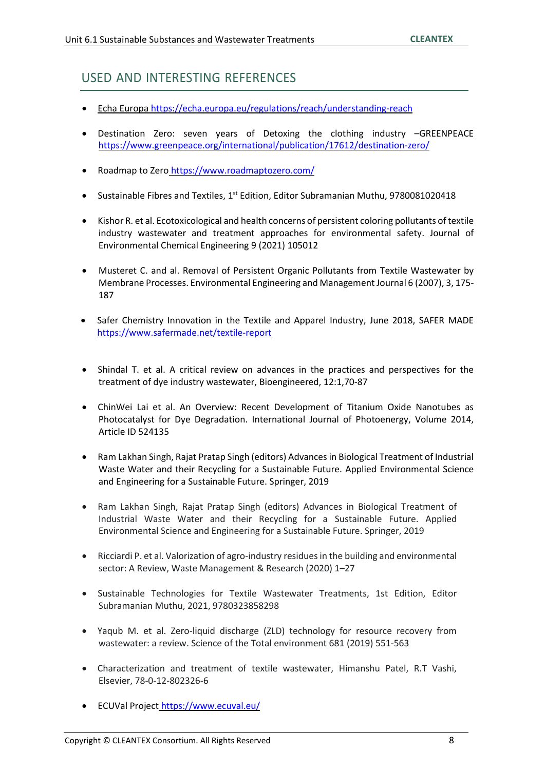## USED AND INTERESTING REFERENCES

- Echa Europa https://echa.europa.eu/regulations/reach/understanding-reach
- Destination Zero: seven years of Detoxing the clothing industry –GREENPEACE https://www.greenpeace.org/international/publication/17612/destination-zero/
- Roadmap to Zero https://www.roadmaptozero.com/
- Sustainable Fibres and Textiles,  $1<sup>st</sup>$  Edition, Editor Subramanian Muthu, 9780081020418
- Kishor R. et al. Ecotoxicological and health concerns of persistent coloring pollutants of textile industry wastewater and treatment approaches for environmental safety. Journal of Environmental Chemical Engineering 9 (2021) 105012
- Musteret C. and al. Removal of Persistent Organic Pollutants from Textile Wastewater by Membrane Processes. Environmental Engineering and Management Journal 6 (2007), 3, 175- 187
- Safer Chemistry Innovation in the Textile and Apparel Industry, June 2018, SAFER MADE https://www.safermade.net/textile-report
- Shindal T. et al. A critical review on advances in the practices and perspectives for the treatment of dye industry wastewater, Bioengineered, 12:1,70-87
- ChinWei Lai et al. An Overview: Recent Development of Titanium Oxide Nanotubes as Photocatalyst for Dye Degradation. International Journal of Photoenergy, Volume 2014, Article ID 524135
- Ram Lakhan Singh, Rajat Pratap Singh (editors) Advances in Biological Treatment of Industrial Waste Water and their Recycling for a Sustainable Future. Applied Environmental Science and Engineering for a Sustainable Future. Springer, 2019
- Ram Lakhan Singh, Rajat Pratap Singh (editors) Advances in Biological Treatment of Industrial Waste Water and their Recycling for a Sustainable Future. Applied Environmental Science and Engineering for a Sustainable Future. Springer, 2019
- Ricciardi P. et al. Valorization of agro-industry residues in the building and environmental sector: A Review, Waste Management & Research (2020) 1–27
- Sustainable Technologies for Textile Wastewater Treatments, 1st Edition, Editor Subramanian Muthu, 2021, 9780323858298
- Yaqub M. et al. Zero-liquid discharge (ZLD) technology for resource recovery from wastewater: a review. Science of the Total environment 681 (2019) 551-563
- Characterization and treatment of textile wastewater, Himanshu Patel, R.T Vashi, Elsevier, 78-0-12-802326-6
- ECUVal Project https://www.ecuval.eu/